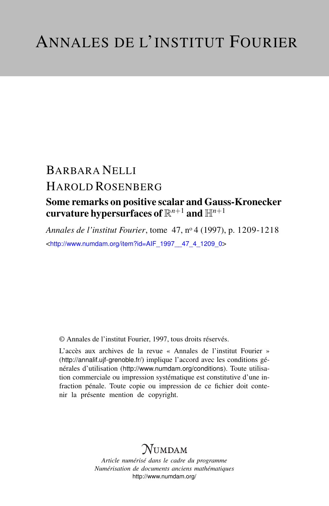# BARBARA NELLI HAROLD ROSENBERG

## Some remarks on positive scalar and Gauss-Kronecker curvature hypersurfaces of R *<sup>n</sup>*+<sup>1</sup> and H*n*+<sup>1</sup>

*Annales de l'institut Fourier*, tome 47, n<sup>o</sup> 4 (1997), p. 1209-1218 <[http://www.numdam.org/item?id=AIF\\_1997\\_\\_47\\_4\\_1209\\_0](http://www.numdam.org/item?id=AIF_1997__47_4_1209_0)>

© Annales de l'institut Fourier, 1997, tous droits réservés.

L'accès aux archives de la revue « Annales de l'institut Fourier » (<http://annalif.ujf-grenoble.fr/>) implique l'accord avec les conditions générales d'utilisation (<http://www.numdam.org/conditions>). Toute utilisation commerciale ou impression systématique est constitutive d'une infraction pénale. Toute copie ou impression de ce fichier doit contenir la présente mention de copyright.

## NUMDAM

*Article numérisé dans le cadre du programme Numérisation de documents anciens mathématiques* <http://www.numdam.org/>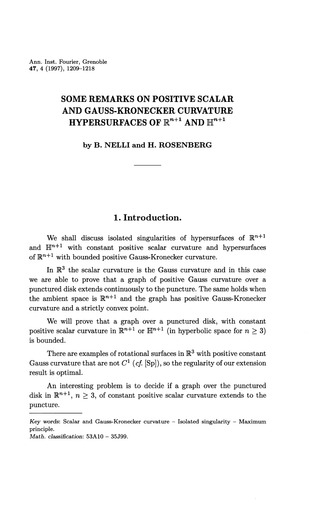Ann. Inst. Fourier, Grenoble 47, 4 (1997), 1209-1218

### **SOME REMARKS ON POSITIVE SCALAR AND GAUSS-KRONECKER CURVATURE**  ${\bf HYPERSURFACES}$  of  $\mathbb{R}^{n+1}$  and  $\mathbb{H}^{n+1}$

**by B. NELLI and H. ROSENBERG**

#### **1. Introduction.**

We shall discuss isolated singularities of hypersurfaces of  $\mathbb{R}^{n+1}$ and  $\mathbb{H}^{n+1}$  with constant positive scalar curvature and hypersurfaces of  $\mathbb{R}^{n+1}$  with bounded positive Gauss-Kronecker curvature.

In  $\mathbb{R}^3$  the scalar curvature is the Gauss curvature and in this case we are able to prove that a graph of positive Gauss curvature over a punctured disk extends continuously to the puncture. The same holds when the ambient space is  $\mathbb{R}^{n+1}$  and the graph has positive Gauss-Kronecker curvature and a strictly convex point.

We will prove that a graph over a punctured disk, with constant positive scalar curvature in  $\mathbb{R}^{n+1}$  or  $\mathbb{H}^{n+1}$  (in hyperbolic space for  $n \geq 3$ ) is bounded.

There are examples of rotational surfaces in  $\mathbb{R}^3$  with positive constant Gauss curvature that are not  $C^1$  (*cf.* [Sp]), so the regularity of our extension result is optimal.

An interesting problem is to decide if a graph over the punctured disk in  $\mathbb{R}^{n+1}$ ,  $n \geq 3$ , of constant positive scalar curvature extends to the puncture.

*Math. classification:* 53A10 - 35J99.

*Key words:* Scalar and Gauss-Kronecker curvature — Isolated singularity — Maximum principle.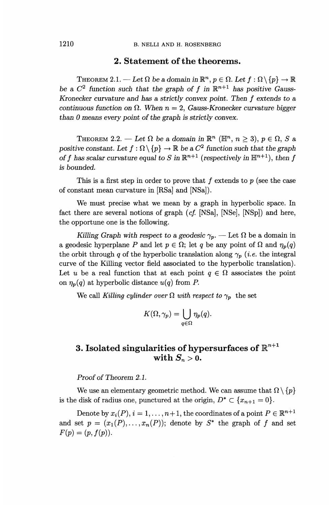#### **2. Statement of the theorems.**

THEOREM 2.1. — Let  $\Omega$  be a domain in  $\mathbb{R}^n$ ,  $p \in \Omega$ . Let  $f : \Omega \setminus \{p\} \to \mathbb{R}$ THEOREM 2.1. — Let  $\Omega$  be a domain in  $\mathbb{R}^n$ ,  $p \in \Omega$ <br>be a  $C^2$  function such that the graph of f in  $\mathbb{R}^{n+1}$ be a  $C^2$  function such that the graph of  $f$  in  $\mathbb{R}^{n+1}$  has positive Gauss-<br>*Kronecker curvature and has a strictly convex point. Then*  $f$  *extends to a continuous function on*  $\Omega$ *. When n* = 2, *Gauss-Kronecker curvature bigger than 0 means every point of the graph is strictly convex.*

THEOREM 2.2. — Let  $\Omega$  be a domain in  $\mathbb{R}^n$  ( $\mathbb{H}^n$ ,  $n \geq 3$ ),  $p \in \Omega$ , S a *PHEOREM 2.2.* — Let  $\Omega$  be a domain in  $\mathbb{R}^n$  ( $\mathbb{H}^n$ ,  $n \geq 3$ ),  $p \in \Omega$ , *S* a positive constant. Let  $f : \Omega \setminus \{p\} \to \mathbb{R}$  be a  $C^2$  function such that the graph positive constant. Let  $f : \Omega \setminus \{p\} \to \mathbb{R}$  be a  $C^2$  function such that the graph of f has scalar curvature equal to S in  $\mathbb{R}^{n+1}$  (respectively in  $\mathbb{H}^{n+1}$ ), then f *is bounded.*

This is a first step in order to prove that f extends to p (see the case of constant mean curvature in [RSa] and [NSa]).

We must precise what we mean by a graph in hyperbolic space. In fact there are several notions of graph *(cf.* [NSa], [NSe], [NSp]) and here, the opportune one is the following.

*Killing Graph with respect to a geodesic*  $\gamma_p$ . — Let  $\Omega$  be a domain in a geodesic hyperplane *P* and let  $p \in \Omega$ ; let *q* be any point of  $\Omega$  and  $\eta_p(q)$ the orbit through q of the hyperbolic translation along  $\gamma_p$  *(i.e.* the integral curve of the Killing vector field associated to the hyperbolic translation). Let *u* be a real function that at each point  $q \in \Omega$  associates the point on  $\eta_p(q)$  at hyperbolic distance  $u(q)$  from P.

We call *Killing cylinder over*  $\Omega$  *with respect to*  $\gamma_p$  the set

$$
K(\Omega,\gamma_p)=\bigcup_{q\in\Omega}\eta_p(q).
$$

### ${\bf 3.}$  Isolated singularities of hypersurfaces of  $\mathbb{R}^{n+1}$ with  $S_n > 0$ .

*Proof of Theorem 2.1.*

We use an elementary geometric method. We can assume that  $\Omega \setminus \{p\}$ is the disk of radius one, punctured at the origin,  $D^* \subset \{x_{n+1} = 0\}.$ 

Denote by  $x_i(P), i = 1, \ldots, n+1$ , the coordinates of a point  $P \in \mathbb{R}^{n+1}$ and set  $p = (x_1(P), \ldots, x_n(P))$ ; denote by  $S^*$  the graph of f and set  $F(p) = (p, f(p)).$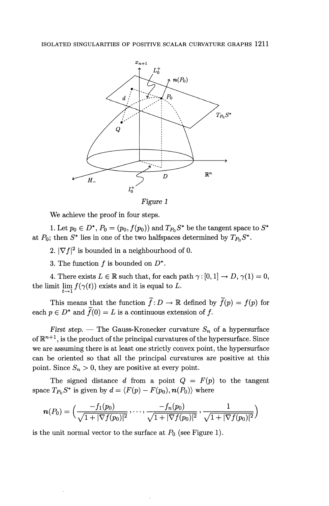

*Figure 1*

We achieve the proof in four steps.

1. Let  $p_0 \in D^*$ ,  $P_0 = (p_0, f(p_0))$  and  $T_{P_0}S^*$  be the tangent space to  $S^*$ at  $P_0$ ; then  $S^*$  lies in one of the two halfspaces determined by  $T_{P_0}S^*$ .

2.  $|\nabla f|^2$  is bounded in a neighbourhood of 0.

3. The function  $f$  is bounded on  $D^*$ .

4. There exists  $L \in \mathbb{R}$  such that, for each path  $\gamma : [0,1] \to D$ ,  $\gamma(1) = 0$ , the limit  $\lim_{t\to 1} f(\gamma(t))$  exists and it is equal to L.

This means that the function  $\tilde{f}: D \to \mathbb{R}$  defined by  $\tilde{f}(p) = f(p)$  for each  $p \in D^*$  and  $\widetilde{f}(0) = L$  is a continuous extension of f.

First step. — The Gauss-Kronecker curvature  $S_n$  of a hypersurface of  $\mathbb{R}^{n+1}$ , is the product of the principal curvatures of the hypersurface. Since we are assuming there is at least one strictly convex point, the hypersurface can be oriented so that all the principal curvatures are positive at this point. Since  $S_n > 0$ , they are positive at every point.

The signed distance d from a point  $Q = F(p)$  to the tangent space  $T_{P_0}S^*$  is given by  $d = \langle F(p) - F(p_0), n(P_0) \rangle$  where

$$
\boldsymbol{n}(P_0)=\Big(\frac{-f_1(p_0)}{\sqrt{1+|\nabla f(p_0)|^2}},\ldots,\frac{-f_n(p_0)}{\sqrt{1+|\nabla f(p_0)|^2}},\frac{1}{\sqrt{1+|\nabla f(p_0)|^2}}\Big)
$$

is the unit normal vector to the surface at  $P_0$  (see Figure 1).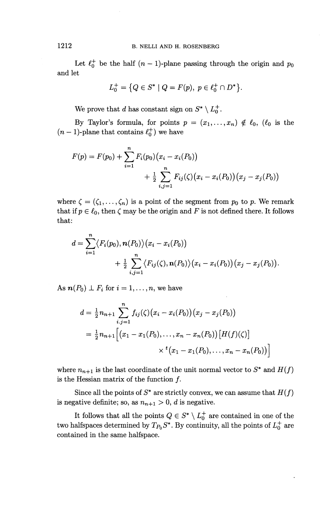Let  $\ell_0^+$  be the half  $(n - 1)$ -plane passing through the origin and  $p_0$ and let

$$
L_0^+ = \{ Q \in S^* \mid Q = F(p), \ p \in \ell_0^+ \cap D^* \}.
$$

We prove that *d* has constant sign on  $S^* \setminus L^+_0$ .

By Taylor's formula, for points  $p = (x_1, \ldots, x_n) \notin \ell_0$ ,  $(\ell_0$  is the  $(n-1)$ -plane that contains  $\ell_0^+$ ) we have

$$
F(p) = F(p_0) + \sum_{i=1}^{n} F_i(p_0) (x_i - x_i(P_0)) + \frac{1}{2} \sum_{i,j=1}^{n} F_{ij}(\zeta) (x_i - x_i(P_0)) (x_j - x_j(P_0))
$$

where  $\zeta = (\zeta_1, \ldots, \zeta_n)$  is a point of the segment from  $p_0$  to p. We remark that if  $p \in \ell_0$ , then  $\zeta$  may be the origin and *F* is not defined there. It follows that:

$$
d = \sum_{i=1}^{n} \langle F_i(p_0), n(P_0) \rangle (x_i - x_i(P_0)) + \frac{1}{2} \sum_{i,j=1}^{n} \langle F_{ij}(\zeta), n(P_0) \rangle (x_i - x_i(P_0)) (x_j - x_j(P_0)).
$$

As  $\mathbf{n}(P_0) \perp F_i$  for  $i = 1, \ldots, n$ , we have

$$
d = \frac{1}{2} n_{n+1} \sum_{i,j=1}^{n} f_{ij}(\zeta) (x_i - x_i(P_0)) (x_j - x_j(P_0))
$$
  
= 
$$
\frac{1}{2} n_{n+1} \Big[ (x_1 - x_1(P_0), \dots, x_n - x_n(P_0)) [H(f)(\zeta)] \times {}^t (x_1 - x_1(P_0), \dots, x_n - x_n(P_0)) \Big]
$$

where  $n_{n+1}$  is the last coordinate of the unit normal vector to  $S^*$  and  $H(f)$ is the Hessian matrix of the function  $f$ .

Since all the points of  $S^*$  are strictly convex, we can assume that  $H(f)$ is negative definite; so, as  $n_{n+1} > 0$ , *d* is negative.

It follows that all the points  $Q \in S^* \setminus L^+_0$  are contained in one of the two halfspaces determined by  $T_{P_0}S^*$ . By continuity, all the points of  $L_0^+$  are contained in the same halfspace.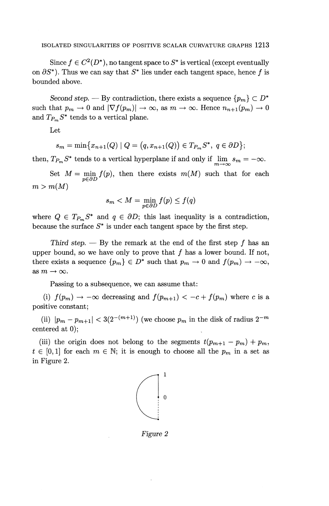Since  $f \in C^2(D^*)$ , no tangent space to  $S^*$  is vertical (except eventually on  $\partial S^*$ ). Thus we can say that  $S^*$  lies under each tangent space, hence f is bounded above.

*Second step.* — By contradiction, there exists a sequence  $\{p_m\} \subset D^*$ such that  $p_m \to 0$  and  $|\nabla f(p_m)| \to \infty$ , as  $m \to \infty$ . Hence  $n_{n+1}(p_m) \to 0$ and  $T_{P_m}S^*$  tends to a vertical plane.

Let

$$
s_m = \min\{x_{n+1}(Q) \mid Q = (q, x_{n+1}(Q)) \in T_{P_m}S^*, \ q \in \partial D\};
$$

then,  $T_{P_m} S^*$  tends to a vertical hyperplane if and only if  $\lim_{m \to \infty} s_m = -\infty$ .

Set  $M = \min_{p \in \partial D} f(p)$ , then there exists  $m(M)$  such that for each  $m > m(M)$ 

$$
s_m < M = \min_{p \in \partial D} f(p) \le f(q)
$$

where  $Q \in T_{P_m}S^*$  and  $q \in \partial D$ ; this last inequality is a contradiction, because the surface  $S^*$  is under each tangent space by the first step.

Third step.  $-$  By the remark at the end of the first step f has an upper bound, so we have only to prove that  $f$  has a lower bound. If not, there exists a sequence  $\{p_m\} \in D^*$  such that  $p_m \to 0$  and  $f(p_m) \to -\infty$ , as  $m \to \infty$ .

Passing to a subsequence, we can assume that:

(i)  $f(p_m) \rightarrow -\infty$  decreasing and  $f(p_{m+1}) < -c + f(p_m)$  where c is a positive constant;

(ii)  $|p_m - p_{m+1}| < 3(2^{-(m+1)})$  (we choose  $p_m$  in the disk of radius  $2^{-m}$ centered at 0);

(iii) the origin does not belong to the segments  $t(p_{m+1} - p_m) + p_m$  $t \in [0,1]$  for each  $m \in \mathbb{N}$ ; it is enough to choose all the  $p_m$  in a set as in Figure 2.



Figure *2*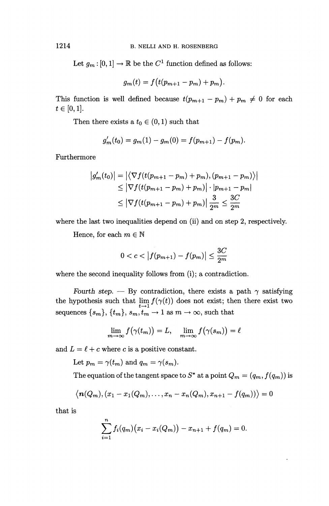Let  $g_m: [0,1] \to \mathbb{R}$  be the  $C^1$  function defined as follows:

$$
g_m(t) = f\big(t(p_{m+1}-p_m)+p_m\big).
$$

This function is well defined because  $t(p_{m+1} - p_m) + p_m \neq 0$  for each  $t\in[0,1].$ 

Then there exists a  $t_0 \in (0,1)$  such that

$$
g'_{m}(t_{0}) = g_{m}(1) - g_{m}(0) = f(p_{m+1}) - f(p_{m}).
$$

Furthermore

$$
|g'_m(t_0)| = |\langle \nabla f(t(p_{m+1} - p_m) + p_m), (p_{m+1} - p_m) \rangle|
$$
  
\n
$$
\leq |\nabla f(t(p_{m+1} - p_m) + p_m)| \cdot |p_{m+1} - p_m|
$$
  
\n
$$
\leq |\nabla f(t(p_{m+1} - p_m) + p_m)| \frac{3}{2^m} \leq \frac{3C}{2^m}
$$

where the last two inequalities depend on (ii) and on step 2, respectively.

Hence, for each  $m \in \mathbb{N}$ 

$$
0 < c < |f(p_{m+1}) - f(p_m)| \le \frac{3C}{2^m}
$$

where the second inequality follows from (i); a contradiction.

*Fourth step.* — By contradiction, there exists a path  $\gamma$  satisfying the hypothesis such that  $\lim_{t\to 1} f(\gamma(t))$  does not exist; then there exist two sequences  $\{s_m\}, \{t_m\}, s_m, t_m \to 1$  as  $m \to \infty$ , such that

$$
\lim_{m \to \infty} f(\gamma(t_m)) = L, \quad \lim_{m \to \infty} f(\gamma(s_m)) = \ell
$$

and  $L = \ell + c$  where *c* is a positive constant.

Let  $p_m = \gamma(t_m)$  and  $q_m = \gamma(s_m)$ .

The equation of the tangent space to  $S^*$  at a point  $Q_m = (q_m, f(q_m))$  is

$$
\langle n(Q_m), (x_1-x_1(Q_m), \ldots, x_n-x_n(Q_m), x_{n+1}-f(q_m)) \rangle = 0
$$

that is

$$
\sum_{i=1}^{n} f_i(q_m)(x_i - x_i(Q_m)) - x_{n+1} + f(q_m) = 0.
$$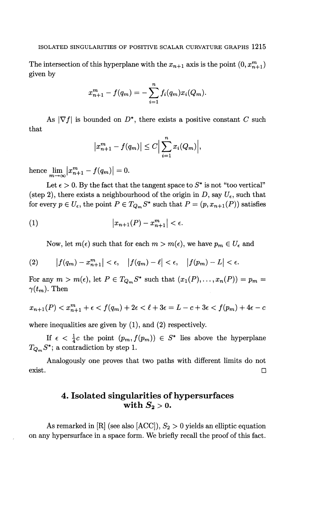The intersection of this hyperplane with the  $x_{n+1}$  axis is the point  $(0, x_{n+1}^m)$ given by

$$
x_{n+1}^m - f(q_m) = -\sum_{i=1}^n f_i(q_m) x_i(Q_m).
$$

that As  $|\nabla f|$  is bounded on  $D^*$ , there exists a positive constant C such

$$
\left|x_{n+1}^m - f(q_m)\right| \leq C \Big|\sum_{i=1}^n x_i(Q_m)\Big|,
$$

hence  $\lim_{m \to \infty} |x^{m}_{n+1} - f(q_m)| = 0.$ 

Let  $\epsilon > 0$ . By the fact that the tangent space to  $S^*$  is not "too vertical" (step 2), there exists a neighbourhood of the origin in D, say  $U_{\epsilon}$ , such that for every  $p \in U_{\epsilon}$ , the point  $P \in T_{Q_m} S^*$  such that  $P = (p, x_{n+1}(P))$  satisfies

(1) 
$$
|x_{n+1}(P) - x_{n+1}^m| < \epsilon.
$$

Now, let  $m(\epsilon)$  such that for each  $m > m(\epsilon)$ , we have  $p_m \in U_{\epsilon}$  and

(2) 
$$
|f(q_m) - x_{n+1}^m| < \epsilon, \quad |f(q_m) - \ell| < \epsilon, \quad |f(p_m) - L| < \epsilon.
$$

For any  $m > m(\epsilon)$ , let  $P \in T_{Q_m} S^*$  such that  $(x_1(P),..., x_n(P)) = p_m =$  $\gamma(t_m)$ . Then

$$
x_{n+1}(P) < x_{n+1}^m + \epsilon < f(q_m) + 2\epsilon < \ell + 3\epsilon = L - c + 3\epsilon < f(p_m) + 4\epsilon - c
$$

where inequalities are given by (1), and (2) respectively.

If  $\epsilon < \frac{1}{4}c$  the point  $(p_m, f(p_m)) \in S^*$  lies above the hyperplane  $T_{Q_m}S^*$ ; a contradiction by step 1.

Analogously one proves that two paths with different limits do not exist.  $\Box$ 

### **4. Isolated singularities of hypersurfaces** with  $S_2 > 0$ .

As remarked in  $[R]$  (see also  $[ACC]$ ),  $S_2 > 0$  yields an elliptic equation on any hypersurface in a space form. We briefly recall the proof of this fact.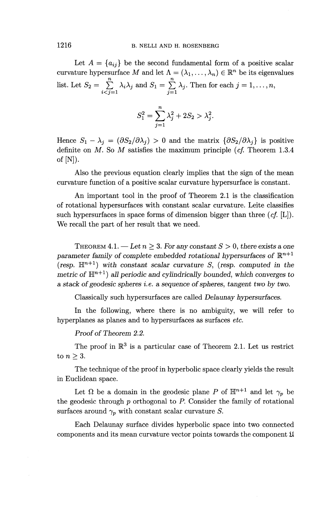Let  $A = \{a_{ij}\}\$ be the second fundamental form of a positive scalar curvature hypersurface M and let  $\Lambda = (\lambda_1, \ldots, \lambda_n) \in \mathbb{R}^n$  be its eigenvalues list. Let  $S_2 = \sum_{i < j=1}^n \lambda_i \lambda_j$  and  $S_1 = \sum_{j=1}^n \lambda_j$ . Then for each  $j = 1, ..., n$ 

$$
S_1^2=\sum_{j=1}^n\lambda_j^2+2S_2>\lambda_j^2.
$$

Hence  $S_1 - \lambda_i = (\partial S_2/\partial \lambda_i) > 0$  and the matrix  $\{\partial S_2/\partial \lambda_i\}$  is positive definite on *M.* So M satisfies the maximum principle *(cf.* Theorem 1.3.4 of  $[N]$ ).

Also the previous equation clearly implies that the sign of the mean curvature function of a positive scalar curvature hypersurface is constant.

An important tool in the proof of Theorem 2.1 is the classification of rotational hypersurfaces with constant scalar curvature. Leite classifies such hypersurfaces in space forms of dimension bigger than three *{cf.* [L]). We recall the part of her result that we need.

THEOREM  $4.1.$  — Let  $n > 3$ . For any constant  $S > 0$ , there exists a one *parameter family of complete embedded rotational hypersurfaces of*  $\mathbb{R}^{n+1}$  $(r \exp. \mathbb{H}^{n+1})$  with constant scalar curvature *S*, (resp. computed in the  $metric$  of  $\mathbb{H}^{n+1}$  all periodic and cylindrically bounded, which converges to *a stack of geodesic spheres i.e. a sequence of spheres, tangent two by two.*

Classically such hypersurfaces are called *Delaunay hypersurfaces.*

In the following, where there is no ambiguity, we will refer to hyperplanes as planes and to hypersurfaces as surfaces *etc.*

*Proof of Theorem 2.2.*

The proof in  $\mathbb{R}^3$  is a particular case of Theorem 2.1. Let us restrict to  $n \geq 3$ .

The technique of the proof in hyperbolic space clearly yields the result in Euclidean space.

Let  $\Omega$  be a domain in the geodesic plane P of  $\mathbb{H}^{n+1}$  and let  $\gamma_p$  be the geodesic through *p* orthogonal to P. Consider the family of rotational surfaces around  $\gamma_p$  with constant scalar curvature *S*.

Each Delaunay surface divides hyperbolic space into two connected components and its mean curvature vector points towards the component  $\mathfrak U$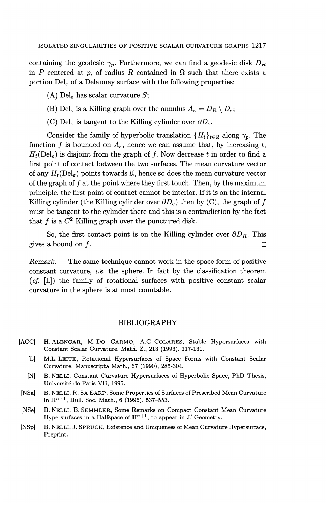containing the geodesic  $\gamma_p$ . Furthermore, we can find a geodesic disk  $D_R$ in *P* centered at *p*, of radius *R* contained in  $\Omega$  such that there exists a portion  $\text{Del}_\varepsilon$  of a Delaunay surface with the following properties:

- (A)  $\text{Del}_\varepsilon$  has scalar curvature S;
- (B) Del<sub> $\epsilon$ </sub> is a Killing graph over the annulus  $A_\epsilon = D_R \setminus D_\epsilon$ ;
- (C) Del<sub> $\epsilon$ </sub> is tangent to the Killing cylinder over  $\partial D_{\epsilon}$ .

Consider the family of hyperbolic translation  ${H_t}_{t\in\mathbb{R}}$  along  $\gamma_p$ . The function f is bounded on  $A_{\varepsilon}$ , hence we can assume that, by increasing t,  $H_t(\text{Del}_\varepsilon)$  is disjoint from the graph of f. Now decrease t in order to find a first point of contact between the two surfaces. The mean curvature vector of any  $H_t(\text{Del}_\varepsilon)$  points towards  $\mathfrak{U}$ , hence so does the mean curvature vector of the graph of  $f$  at the point where they first touch. Then, by the maximum principle, the first point of contact cannot be interior. If it is on the internal Killing cylinder (the Killing cylinder over  $\partial D_{\varepsilon}$ ) then by (C), the graph of f must be tangent to the cylinder there and this is a contradiction by the fact that  $f$  is a  $C^2$  Killing graph over the punctured disk.

So, the first contact point is on the Killing cylinder over  $\partial D_R$ . This gives a bound on  $f$ .

*Remark. —* The same technique cannot work in the space form of positive constant curvature, *i.e.* the sphere. In fact by the classification theorem *(cf.* [L]) the family of rotational surfaces with positive constant scalar curvature in the sphere is at most countable.

#### BIBLIOGRAPHY

- [ACC] H. ALENCAR, M. DO CARMO, A.G. COLARES, Stable Hypersurfaces with Constant Scalar Curvature, Math. **Z.,** 213 (1993), 117-131.
	- [L] M.L. LEITE, Rotational Hypersurfaces of Space Forms with Constant Scalar Curvature, Manuscripta Math., 67 (1990), 285-304.
	- [N] B. NELLI, Constant Curvature Hypersurfaces of Hyperbolic Space, PhD Thesis, Universite de Paris VII, 1995.
- [NSa] B. NELLI, R. SA EARP, Some Properties of Surfaces of Prescribed Mean Curvature in  $\mathbb{H}^{n+1}$ , Bull. Soc. Math., 6 (1996), 537–553.
- [NSe] B. NELLI, B. SEMMLER, Some Remarks on Compact Constant Mean Curvature Hypersurfaces in a Halfspace of  $\mathbb{H}^{n+1}$ , to appear in J. Geometry.
- [NSp] B. NELLI, J. SPRUCK, Existence and Uniqueness of Mean Curvature Hypersurface, Preprint.